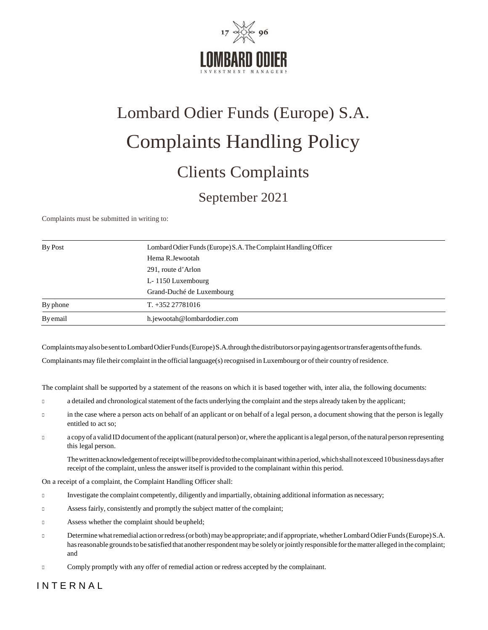

## Lombard Odier Funds (Europe) S.A. Complaints Handling Policy Clients Complaints

September 2021

Complaints must be submitted in writing to:

| By Post  | Lombard Odier Funds (Europe) S.A. The Complaint Handling Officer |
|----------|------------------------------------------------------------------|
|          | Hema R.Jewootah                                                  |
|          | 291, route d'Arlon                                               |
|          | L-1150 Luxembourg                                                |
|          | Grand-Duché de Luxembourg                                        |
| By phone | $T. +35227781016$                                                |
| Byemail  | h.jewootah@lombardodier.com                                      |

ComplaintsmayalsobesenttoLombardOdierFunds(Europe)S.A.throughthedistributorsorpayingagentsortransferagentsofthefunds.

Complainants may file their complaint in the official language(s) recognised in Luxembourg or oftheir country ofresidence.

The complaint shall be supported by a statement of the reasons on which it is based together with, inter alia, the following documents:

- $\Box$  a detailed and chronological statement of the facts underlying the complaint and the steps already taken by the applicant;
- □ in the case where a person acts on behalf of an applicant or on behalf of a legal person, a document showing that the person is legally entitled to act so;
- □ a copyof a valid IDdocument ofthe applicant(naturalperson) or,where the applicantis a legalperson,ofthe naturalperson representing this legal person.

The written acknowledgement of receipt will be provided to the complainant within a period, which shall not exceed 10 business days after receipt of the complaint, unless the answer itself is provided to the complainant within this period.

On a receipt of a complaint, the Complaint Handling Officer shall:

- □ Investigate the complaint competently, diligently and impartially, obtaining additional information as necessary;
- □ Assess fairly, consistently and promptly the subject matter of the complaint;
- □ Assess whether the complaint should beupheld;
- □ Determinewhatremedial action orredress(orboth)maybe appropriate; and if appropriate,whetherLombardOdierFunds(Europe)S.A. has reasonable grounds to be satisfied that another respondent may be solely or jointly responsible for the matter alleged in the complaint; and
- □ Comply promptly with any offer of remedial action or redress accepted by the complainant.

**INTERNAL**